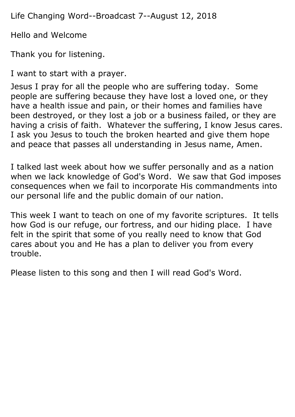Life Changing Word--Broadcast 7--August 12, 2018

Hello and Welcome

Thank you for listening.

I want to start with a prayer.

Jesus I pray for all the people who are suffering today. Some people are suffering because they have lost a loved one, or they have a health issue and pain, or their homes and families have been destroyed, or they lost a job or a business failed, or they are having a crisis of faith. Whatever the suffering, I know Jesus cares. I ask you Jesus to touch the broken hearted and give them hope and peace that passes all understanding in Jesus name, Amen.

I talked last week about how we suffer personally and as a nation when we lack knowledge of God's Word. We saw that God imposes consequences when we fail to incorporate His commandments into our personal life and the public domain of our nation.

This week I want to teach on one of my favorite scriptures. It tells how God is our refuge, our fortress, and our hiding place. I have felt in the spirit that some of you really need to know that God cares about you and He has a plan to deliver you from every trouble.

Please listen to this song and then I will read God's Word.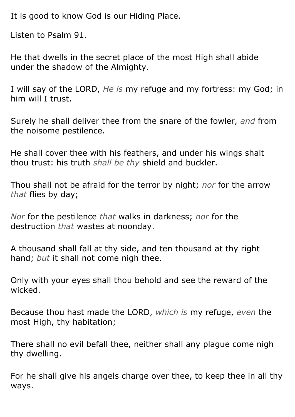It is good to know God is our Hiding Place.

Listen to Psalm 91.

He that dwells in the secret place of the most High shall abide under the shadow of the Almighty.

I will say of the LORD, *He is* my refuge and my fortress: my God; in him will I trust.

Surely he shall deliver thee from the snare of the fowler, *and* from the noisome pestilence.

He shall cover thee with his feathers, and under his wings shalt thou trust: his truth *shall be thy* shield and buckler.

Thou shall not be afraid for the terror by night; *nor* for the arrow *that* flies by day;

*Nor* for the pestilence *that* walks in darkness; *nor* for the destruction *that* wastes at noonday.

A thousand shall fall at thy side, and ten thousand at thy right hand; *but* it shall not come nigh thee.

Only with your eyes shall thou behold and see the reward of the wicked.

Because thou hast made the LORD, *which is* my refuge, *even* the most High, thy habitation;

There shall no evil befall thee, neither shall any plague come nigh thy dwelling.

For he shall give his angels charge over thee, to keep thee in all thy ways.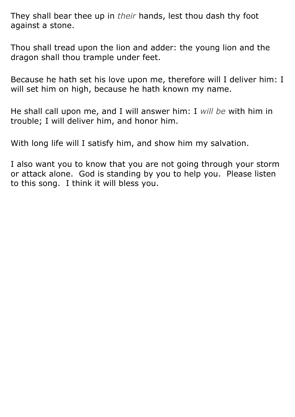They shall bear thee up in *their* hands, lest thou dash thy foot against a stone.

Thou shall tread upon the lion and adder: the young lion and the dragon shall thou trample under feet.

Because he hath set his love upon me, therefore will I deliver him: I will set him on high, because he hath known my name.

He shall call upon me, and I will answer him: I *will be* with him in trouble; I will deliver him, and honor him.

With long life will I satisfy him, and show him my salvation.

I also want you to know that you are not going through your storm or attack alone. God is standing by you to help you. Please listen to this song. I think it will bless you.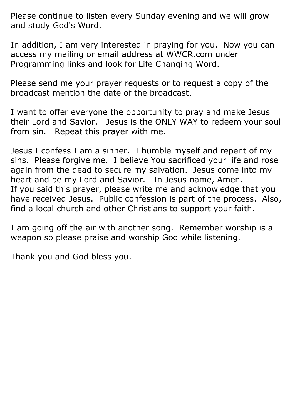Please continue to listen every Sunday evening and we will grow and study God's Word.

In addition, I am very interested in praying for you. Now you can access my mailing or email address at WWCR.com under Programming links and look for Life Changing Word.

Please send me your prayer requests or to request a copy of the broadcast mention the date of the broadcast.

I want to offer everyone the opportunity to pray and make Jesus their Lord and Savior. Jesus is the ONLY WAY to redeem your soul from sin. Repeat this prayer with me.

Jesus I confess I am a sinner. I humble myself and repent of my sins. Please forgive me. I believe You sacrificed your life and rose again from the dead to secure my salvation. Jesus come into my heart and be my Lord and Savior. In Jesus name, Amen. If you said this prayer, please write me and acknowledge that you have received Jesus. Public confession is part of the process. Also, find a local church and other Christians to support your faith.

I am going off the air with another song. Remember worship is a weapon so please praise and worship God while listening.

Thank you and God bless you.